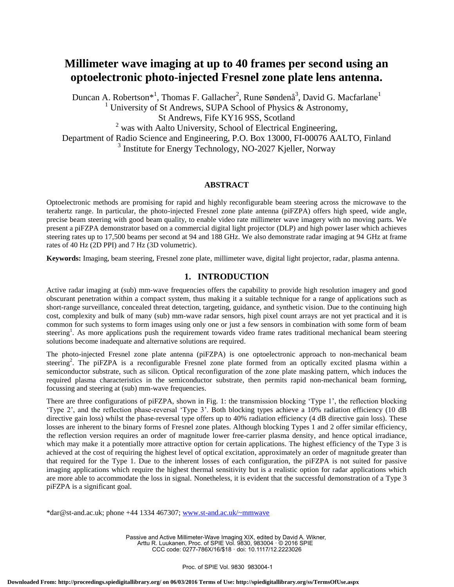# **Millimeter wave imaging at up to 40 frames per second using an optoelectronic photo-injected Fresnel zone plate lens antenna.**

Duncan A. Robertson\*<sup>1</sup>, Thomas F. Gallacher<sup>2</sup>, Rune Søndenå<sup>3</sup>, David G. Macfarlane<sup>1</sup> <sup>1</sup> University of St Andrews, SUPA School of Physics & Astronomy,

St Andrews, Fife KY16 9SS, Scotland

<sup>2</sup> was with Aalto University, School of Electrical Engineering,

Department of Radio Science and Engineering, P.O. Box 13000, FI-00076 AALTO, Finland

<sup>3</sup> Institute for Energy Technology, NO-2027 Kjeller, Norway

## **ABSTRACT**

Optoelectronic methods are promising for rapid and highly reconfigurable beam steering across the microwave to the terahertz range. In particular, the photo-injected Fresnel zone plate antenna (piFZPA) offers high speed, wide angle, precise beam steering with good beam quality, to enable video rate millimeter wave imagery with no moving parts. We present a piFZPA demonstrator based on a commercial digital light projector (DLP) and high power laser which achieves steering rates up to 17,500 beams per second at 94 and 188 GHz. We also demonstrate radar imaging at 94 GHz at frame rates of 40 Hz (2D PPI) and 7 Hz (3D volumetric).

**Keywords:** Imaging, beam steering, Fresnel zone plate, millimeter wave, digital light projector, radar, plasma antenna.

# **1. INTRODUCTION**

Active radar imaging at (sub) mm-wave frequencies offers the capability to provide high resolution imagery and good obscurant penetration within a compact system, thus making it a suitable technique for a range of applications such as short-range surveillance, concealed threat detection, targeting, guidance, and synthetic vision. Due to the continuing high cost, complexity and bulk of many (sub) mm-wave radar sensors, high pixel count arrays are not yet practical and it is common for such systems to form images using only one or just a few sensors in combination with some form of beam steering<sup>1</sup>. As more applications push the requirement towards video frame rates traditional mechanical beam steering solutions become inadequate and alternative solutions are required.

The photo-injected Fresnel zone plate antenna (piFZPA) is one optoelectronic approach to non-mechanical beam steering<sup>2</sup>. The piFZPA is a reconfigurable Fresnel zone plate formed from an optically excited plasma within a semiconductor substrate, such as silicon. Optical reconfiguration of the zone plate masking pattern, which induces the required plasma characteristics in the semiconductor substrate, then permits rapid non-mechanical beam forming, focussing and steering at (sub) mm-wave frequencies.

There are three configurations of piFZPA, shown in Fig. 1: the transmission blocking 'Type 1', the reflection blocking 'Type 2', and the reflection phase-reversal 'Type 3'. Both blocking types achieve a 10% radiation efficiency (10 dB directive gain loss) whilst the phase-reversal type offers up to 40% radiation efficiency (4 dB directive gain loss). These losses are inherent to the binary forms of Fresnel zone plates. Although blocking Types 1 and 2 offer similar efficiency, the reflection version requires an order of magnitude lower free-carrier plasma density, and hence optical irradiance, which may make it a potentially more attractive option for certain applications. The highest efficiency of the Type 3 is achieved at the cost of requiring the highest level of optical excitation, approximately an order of magnitude greater than that required for the Type 1. Due to the inherent losses of each configuration, the piFZPA is not suited for passive imaging applications which require the highest thermal sensitivity but is a realistic option for radar applications which are more able to accommodate the loss in signal. Nonetheless, it is evident that the successful demonstration of a Type 3 piFZPA is a significant goal.

\*dar@st-and.ac.uk; phone +44 1334 467307; www.st-and.ac.uk/~mmwave

Passive and Active Millimeter-Wave Imaging XIX, edited by David A. Wikner, Arttu R. Luukanen, Proc. of SPIE Vol. 9830, 983004 · © 2016 SPIE CCC code: 0277-786X/16/\$18 · doi: 10.1117/12.2223026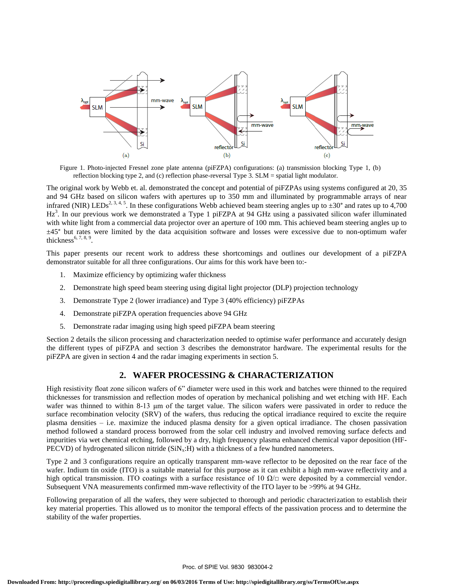

Figure 1. Photo-injected Fresnel zone plate antenna (piFZPA) configurations: (a) transmission blocking Type 1, (b) reflection blocking type 2, and (c) reflection phase-reversal Type 3. SLM = spatial light modulator.

The original work by Webb et. al. demonstrated the concept and potential of piFZPAs using systems configured at 20, 35 and 94 GHz based on silicon wafers with apertures up to 350 mm and illuminated by programmable arrays of near infrared (NIR) LEDs<sup>2, 3, 4, 5</sup>. In these configurations Webb achieved beam steering angles up to  $\pm 30^{\circ}$  and rates up to 4,700  $Hz<sup>3</sup>$ . In our previous work we demonstrated a Type 1 piFZPA at 94 GHz using a passivated silicon wafer illuminated with white light from a commercial data projector over an aperture of 100 mm. This achieved beam steering angles up to ±45° but rates were limited by the data acquisition software and losses were excessive due to non-optimum wafer thickness<sup>6, 7, 8, 9</sup>.

This paper presents our recent work to address these shortcomings and outlines our development of a piFZPA demonstrator suitable for all three configurations. Our aims for this work have been to:-

- 1. Maximize efficiency by optimizing wafer thickness
- 2. Demonstrate high speed beam steering using digital light projector (DLP) projection technology
- 3. Demonstrate Type 2 (lower irradiance) and Type 3 (40% efficiency) piFZPAs
- 4. Demonstrate piFZPA operation frequencies above 94 GHz
- 5. Demonstrate radar imaging using high speed piFZPA beam steering

Section 2 details the silicon processing and characterization needed to optimise wafer performance and accurately design the different types of piFZPA and section 3 describes the demonstrator hardware. The experimental results for the piFZPA are given in section 4 and the radar imaging experiments in section 5.

# **2. WAFER PROCESSING & CHARACTERIZATION**

High resistivity float zone silicon wafers of 6" diameter were used in this work and batches were thinned to the required thicknesses for transmission and reflection modes of operation by mechanical polishing and wet etching with HF. Each wafer was thinned to within 8-13 μm of the target value. The silicon wafers were passivated in order to reduce the surface recombination velocity (SRV) of the wafers, thus reducing the optical irradiance required to excite the require plasma densities – i.e. maximize the induced plasma density for a given optical irradiance. The chosen passivation method followed a standard process borrowed from the solar cell industry and involved removing surface defects and impurities via wet chemical etching, followed by a dry, high frequency plasma enhanced chemical vapor deposition (HF-PECVD) of hydrogenated silicon nitride  $(SiN<sub>x</sub>:H)$  with a thickness of a few hundred nanometers.

Type 2 and 3 configurations require an optically transparent mm-wave reflector to be deposited on the rear face of the wafer. Indium tin oxide (ITO) is a suitable material for this purpose as it can exhibit a high mm-wave reflectivity and a high optical transmission. ITO coatings with a surface resistance of 10  $\Omega/\Box$  were deposited by a commercial vendor. Subsequent VNA measurements confirmed mm-wave reflectivity of the ITO layer to be >99% at 94 GHz.

Following preparation of all the wafers, they were subjected to thorough and periodic characterization to establish their key material properties. This allowed us to monitor the temporal effects of the passivation process and to determine the stability of the wafer properties.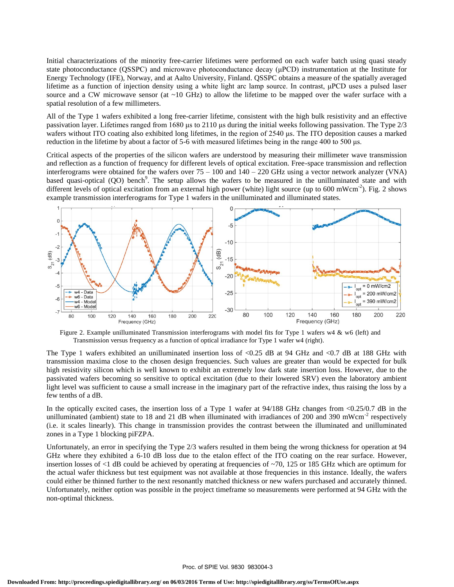Initial characterizations of the minority free-carrier lifetimes were performed on each wafer batch using quasi steady state photoconductance (QSSPC) and microwave photoconductance decay (μPCD) instrumentation at the Institute for Energy Technology (IFE), Norway, and at Aalto University, Finland. QSSPC obtains a measure of the spatially averaged lifetime as a function of injection density using a white light arc lamp source. In contrast, μPCD uses a pulsed laser source and a CW microwave sensor (at  $\sim$ 10 GHz) to allow the lifetime to be mapped over the wafer surface with a spatial resolution of a few millimeters.

All of the Type 1 wafers exhibited a long free-carrier lifetime, consistent with the high bulk resistivity and an effective passivation layer. Lifetimes ranged from 1680 μs to 2110 μs during the initial weeks following passivation. The Type 2/3 wafers without ITO coating also exhibited long lifetimes, in the region of 2540 μs. The ITO deposition causes a marked reduction in the lifetime by about a factor of 5-6 with measured lifetimes being in the range 400 to 500 μs.

Critical aspects of the properties of the silicon wafers are understood by measuring their millimeter wave transmission and reflection as a function of frequency for different levels of optical excitation. Free-space transmission and reflection interferograms were obtained for the wafers over 75 – 100 and 140 – 220 GHz using a vector network analyzer (VNA) based quasi-optical (QO) bench<sup>9</sup>. The setup allows the wafers to be measured in the unilluminated state and with different levels of optical excitation from an external high power (white) light source (up to 600 mWcm<sup>-2</sup>). Fig. 2 shows example transmission interferograms for Type 1 wafers in the unilluminated and illuminated states.



Figure 2. Example unilluminated Transmission interferograms with model fits for Type 1 wafers w4 & w6 (left) and Transmission versus frequency as a function of optical irradiance for Type 1 wafer w4 (right).

The Type 1 wafers exhibited an unilluminated insertion loss of <0.25 dB at 94 GHz and <0.7 dB at 188 GHz with transmission maxima close to the chosen design frequencies. Such values are greater than would be expected for bulk high resistivity silicon which is well known to exhibit an extremely low dark state insertion loss. However, due to the passivated wafers becoming so sensitive to optical excitation (due to their lowered SRV) even the laboratory ambient light level was sufficient to cause a small increase in the imaginary part of the refractive index, thus raising the loss by a few tenths of a dB.

In the optically excited cases, the insertion loss of a Type 1 wafer at 94/188 GHz changes from <0.25/0.7 dB in the unilluminated (ambient) state to 18 and 21 dB when illuminated with irradiances of 200 and 390 mWcm<sup>-2</sup> respectively (i.e. it scales linearly). This change in transmission provides the contrast between the illuminated and unilluminated zones in a Type 1 blocking piFZPA.

Unfortunately, an error in specifying the Type 2/3 wafers resulted in them being the wrong thickness for operation at 94 GHz where they exhibited a 6-10 dB loss due to the etalon effect of the ITO coating on the rear surface. However, insertion losses of  $\lt 1$  dB could be achieved by operating at frequencies of  $\lt 70$ , 125 or 185 GHz which are optimum for the actual wafer thickness but test equipment was not available at those frequencies in this instance. Ideally, the wafers could either be thinned further to the next resonantly matched thickness or new wafers purchased and accurately thinned. Unfortunately, neither option was possible in the project timeframe so measurements were performed at 94 GHz with the non-optimal thickness.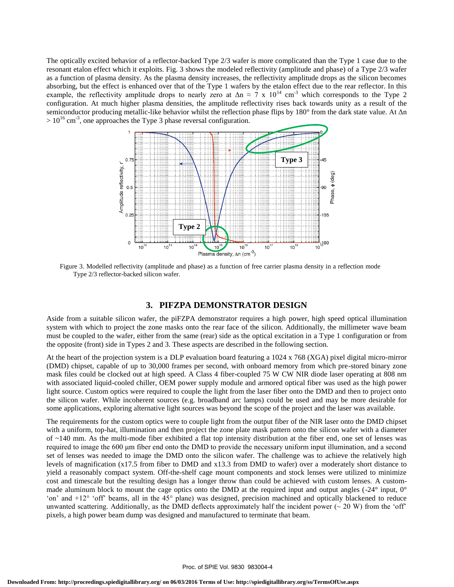The optically excited behavior of a reflector-backed Type 2/3 wafer is more complicated than the Type 1 case due to the resonant etalon effect which it exploits. Fig. 3 shows the modeled reflectivity (amplitude and phase) of a Type 2/3 wafer as a function of plasma density. As the plasma density increases, the reflectivity amplitude drops as the silicon becomes absorbing, but the effect is enhanced over that of the Type 1 wafers by the etalon effect due to the rear reflector. In this example, the reflectivity amplitude drops to nearly zero at  $\Delta n \approx 7 \times 10^{14} \text{ cm}^3$  which corresponds to the Type 2 configuration. At much higher plasma densities, the amplitude reflectivity rises back towards unity as a result of the semiconductor producing metallic-like behavior whilst the reflection phase flips by 180° from the dark state value. At Δn  $> 10^{16}$  cm<sup>-3</sup>, one approaches the Type 3 phase reversal configuration.



Figure 3. Modelled reflectivity (amplitude and phase) as a function of free carrier plasma density in a reflection mode Type 2/3 reflector-backed silicon wafer.

## **3. PIFZPA DEMONSTRATOR DESIGN**

Aside from a suitable silicon wafer, the piFZPA demonstrator requires a high power, high speed optical illumination system with which to project the zone masks onto the rear face of the silicon. Additionally, the millimeter wave beam must be coupled to the wafer, either from the same (rear) side as the optical excitation in a Type 1 configuration or from the opposite (front) side in Types 2 and 3. These aspects are described in the following section.

At the heart of the projection system is a DLP evaluation board featuring a 1024 x 768 (XGA) pixel digital micro-mirror (DMD) chipset, capable of up to 30,000 frames per second, with onboard memory from which pre-stored binary zone mask files could be clocked out at high speed. A Class 4 fiber-coupled 75 W CW NIR diode laser operating at 808 nm with associated liquid-cooled chiller, OEM power supply module and armored optical fiber was used as the high power light source. Custom optics were required to couple the light from the laser fiber onto the DMD and then to project onto the silicon wafer. While incoherent sources (e.g. broadband arc lamps) could be used and may be more desirable for some applications, exploring alternative light sources was beyond the scope of the project and the laser was available.

The requirements for the custom optics were to couple light from the output fiber of the NIR laser onto the DMD chipset with a uniform, top-hat, illumination and then project the zone plate mask pattern onto the silicon wafer with a diameter of ~140 mm. As the multi-mode fiber exhibited a flat top intensity distribution at the fiber end, one set of lenses was required to image the 600 μm fiber end onto the DMD to provide the necessary uniform input illumination, and a second set of lenses was needed to image the DMD onto the silicon wafer. The challenge was to achieve the relatively high levels of magnification (x17.5 from fiber to DMD and x13.3 from DMD to wafer) over a moderately short distance to yield a reasonably compact system. Off-the-shelf cage mount components and stock lenses were utilized to minimize cost and timescale but the resulting design has a longer throw than could be achieved with custom lenses. A custommade aluminum block to mount the cage optics onto the DMD at the required input and output angles  $(-24^{\circ}$  input,  $0^{\circ}$ 'on' and +12° 'off' beams, all in the 45° plane) was designed, precision machined and optically blackened to reduce unwanted scattering. Additionally, as the DMD deflects approximately half the incident power ( $\sim$  20 W) from the 'off' pixels, a high power beam dump was designed and manufactured to terminate that beam.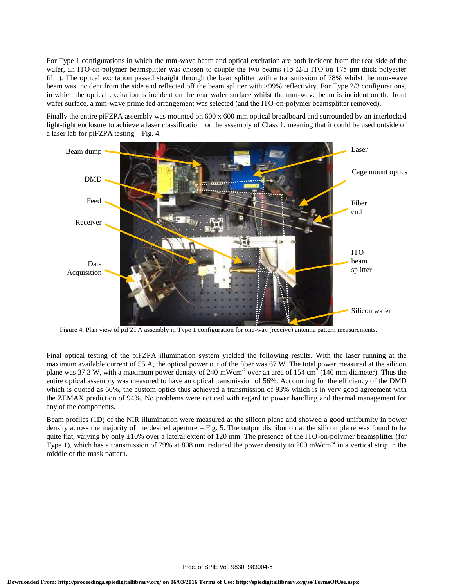For Type 1 configurations in which the mm-wave beam and optical excitation are both incident from the rear side of the wafer, an ITO-on-polymer beamsplitter was chosen to couple the two beams (15  $\Omega/\Box$  ITO on 175 µm thick polyester film). The optical excitation passed straight through the beamsplitter with a transmission of 78% whilst the mm-wave beam was incident from the side and reflected off the beam splitter with >99% reflectivity. For Type 2/3 configurations, in which the optical excitation is incident on the rear wafer surface whilst the mm-wave beam is incident on the front wafer surface, a mm-wave prime fed arrangement was selected (and the ITO-on-polymer beamsplitter removed).

Finally the entire piFZPA assembly was mounted on 600 x 600 mm optical breadboard and surrounded by an interlocked light-tight enclosure to achieve a laser classification for the assembly of Class 1, meaning that it could be used outside of a laser lab for piFZPA testing – Fig. 4.



Figure 4. Plan view of piFZPA assembly in Type 1 configuration for one-way (receive) antenna pattern measurements.

Final optical testing of the piFZPA illumination system yielded the following results. With the laser running at the maximum available current of 55 A, the optical power out of the fiber was 67 W. The total power measured at the silicon plane was 37.3 W, with a maximum power density of 240 mWcm<sup>-2</sup> over an area of 154 cm<sup>2</sup> (140 mm diameter). Thus the entire optical assembly was measured to have an optical transmission of 56%. Accounting for the efficiency of the DMD which is quoted as 60%, the custom optics thus achieved a transmission of 93% which is in very good agreement with the ZEMAX prediction of 94%. No problems were noticed with regard to power handling and thermal management for any of the components.

Beam profiles (1D) of the NIR illumination were measured at the silicon plane and showed a good uniformity in power density across the majority of the desired aperture – Fig. 5. The output distribution at the silicon plane was found to be quite flat, varying by only  $\pm 10\%$  over a lateral extent of 120 mm. The presence of the ITO-on-polymer beamsplitter (for Type 1), which has a transmission of 79% at 808 nm, reduced the power density to 200 mWcm<sup>-2</sup> in a vertical strip in the middle of the mask pattern.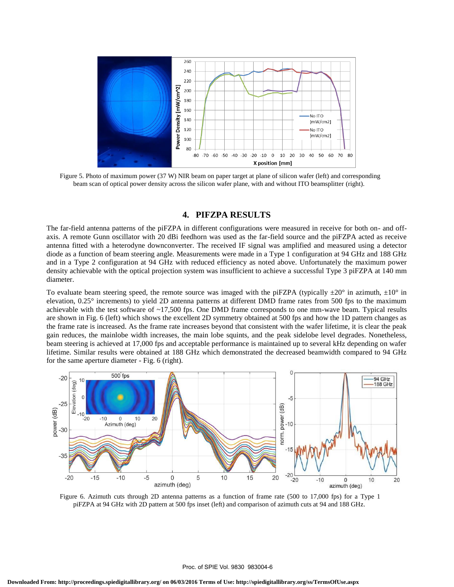

Figure 5. Photo of maximum power (37 W) NIR beam on paper target at plane of silicon wafer (left) and corresponding beam scan of optical power density across the silicon wafer plane, with and without ITO beamsplitter (right).

#### **4. PIFZPA RESULTS**

The far-field antenna patterns of the piFZPA in different configurations were measured in receive for both on- and offaxis. A remote Gunn oscillator with 20 dBi feedhorn was used as the far-field source and the piFZPA acted as receive antenna fitted with a heterodyne downconverter. The received IF signal was amplified and measured using a detector diode as a function of beam steering angle. Measurements were made in a Type 1 configuration at 94 GHz and 188 GHz and in a Type 2 configuration at 94 GHz with reduced efficiency as noted above. Unfortunately the maximum power density achievable with the optical projection system was insufficient to achieve a successful Type 3 piFZPA at 140 mm diameter.

To evaluate beam steering speed, the remote source was imaged with the piFZPA (typically  $\pm 20^\circ$  in azimuth,  $\pm 10^\circ$  in elevation, 0.25° increments) to yield 2D antenna patterns at different DMD frame rates from 500 fps to the maximum achievable with the test software of ~17,500 fps. One DMD frame corresponds to one mm-wave beam. Typical results are shown in Fig. 6 (left) which shows the excellent 2D symmetry obtained at 500 fps and how the 1D pattern changes as the frame rate is increased. As the frame rate increases beyond that consistent with the wafer lifetime, it is clear the peak gain reduces, the mainlobe width increases, the main lobe squints, and the peak sidelobe level degrades. Nonetheless, beam steering is achieved at 17,000 fps and acceptable performance is maintained up to several kHz depending on wafer lifetime. Similar results were obtained at 188 GHz which demonstrated the decreased beamwidth compared to 94 GHz for the same aperture diameter - Fig. 6 (right).



Figure 6. Azimuth cuts through 2D antenna patterns as a function of frame rate (500 to 17,000 fps) for a Type 1 piFZPA at 94 GHz with 2D pattern at 500 fps inset (left) and comparison of azimuth cuts at 94 and 188 GHz.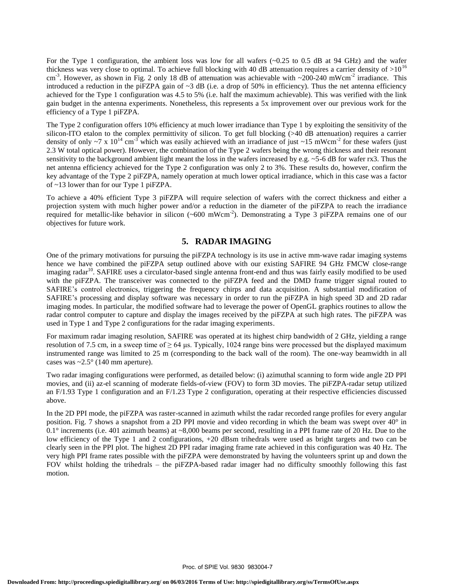For the Type 1 configuration, the ambient loss was low for all wafers  $(\sim 0.25$  to 0.5 dB at 94 GHz) and the wafer thickness was very close to optimal. To achieve full blocking with 40 dB attenuation requires a carrier density of  $>10^{16}$  $\text{cm}^3$ . However, as shown in Fig. 2 only 18 dB of attenuation was achievable with ~200-240 mWcm<sup>-2</sup> irradiance. This introduced a reduction in the piFZPA gain of  $\sim$ 3 dB (i.e. a drop of 50% in efficiency). Thus the net antenna efficiency achieved for the Type 1 configuration was 4.5 to 5% (i.e. half the maximum achievable). This was verified with the link gain budget in the antenna experiments. Nonetheless, this represents a 5x improvement over our previous work for the efficiency of a Type 1 piFZPA.

The Type 2 configuration offers 10% efficiency at much lower irradiance than Type 1 by exploiting the sensitivity of the silicon-ITO etalon to the complex permittivity of silicon. To get full blocking (>40 dB attenuation) requires a carrier density of only ~7 x  $10^{14}$  cm<sup>-3</sup> which was easily achieved with an irradiance of just ~15 mWcm<sup>-2</sup> for these wafers (just 2.3 W total optical power). However, the combination of the Type 2 wafers being the wrong thickness and their resonant sensitivity to the background ambient light meant the loss in the wafers increased by e.g.  $\sim$  5-6 dB for wafer rx3. Thus the net antenna efficiency achieved for the Type 2 configuration was only 2 to 3%. These results do, however, confirm the key advantage of the Type 2 piFZPA, namely operation at much lower optical irradiance, which in this case was a factor of ~13 lower than for our Type 1 piFZPA.

To achieve a 40% efficient Type 3 piFZPA will require selection of wafers with the correct thickness and either a projection system with much higher power and/or a reduction in the diameter of the piFZPA to reach the irradiance required for metallic-like behavior in silicon (~600 mWcm<sup>-2</sup>). Demonstrating a Type 3 piFZPA remains one of our objectives for future work.

# **5. RADAR IMAGING**

One of the primary motivations for pursuing the piFZPA technology is its use in active mm-wave radar imaging systems hence we have combined the piFZPA setup outlined above with our existing SAFIRE 94 GHz FMCW close-range imaging radar<sup>10</sup>. SAFIRE uses a circulator-based single antenna front-end and thus was fairly easily modified to be used with the piFZPA. The transceiver was connected to the piFZPA feed and the DMD frame trigger signal routed to SAFIRE's control electronics, triggering the frequency chirps and data acquisition. A substantial modification of SAFIRE's processing and display software was necessary in order to run the piFZPA in high speed 3D and 2D radar imaging modes. In particular, the modified software had to leverage the power of OpenGL graphics routines to allow the radar control computer to capture and display the images received by the piFZPA at such high rates. The piFZPA was used in Type 1 and Type 2 configurations for the radar imaging experiments.

For maximum radar imaging resolution, SAFIRE was operated at its highest chirp bandwidth of 2 GHz, yielding a range resolution of 7.5 cm, in a sweep time of  $\geq 64$  µs. Typically, 1024 range bins were processed but the displayed maximum instrumented range was limited to 25 m (corresponding to the back wall of the room). The one-way beamwidth in all cases was  $\sim$ 2.5 $\degree$  (140 mm aperture).

Two radar imaging configurations were performed, as detailed below: (i) azimuthal scanning to form wide angle 2D PPI movies, and (ii) az-el scanning of moderate fields-of-view (FOV) to form 3D movies. The piFZPA-radar setup utilized an  $F/1.93$  Type 1 configuration and an  $F/1.23$  Type 2 configuration, operating at their respective efficiencies discussed above.

In the 2D PPI mode, the piFZPA was raster-scanned in azimuth whilst the radar recorded range profiles for every angular position. Fig. 7 shows a snapshot from a 2D PPI movie and video recording in which the beam was swept over 40° in 0.1° increments (i.e. 401 azimuth beams) at ~8,000 beams per second, resulting in a PPI frame rate of 20 Hz. Due to the low efficiency of the Type 1 and 2 configurations, +20 dBsm trihedrals were used as bright targets and two can be clearly seen in the PPI plot. The highest 2D PPI radar imaging frame rate achieved in this configuration was 40 Hz. The very high PPI frame rates possible with the piFZPA were demonstrated by having the volunteers sprint up and down the FOV whilst holding the trihedrals – the piFZPA-based radar imager had no difficulty smoothly following this fast motion.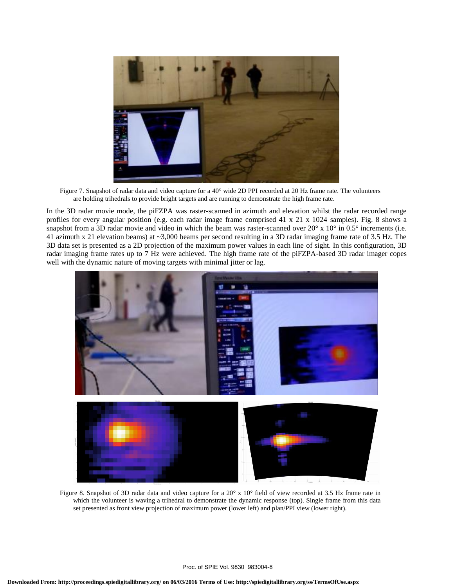

Figure 7. Snapshot of radar data and video capture for a 40° wide 2D PPI recorded at 20 Hz frame rate. The volunteers are holding trihedrals to provide bright targets and are running to demonstrate the high frame rate.

In the 3D radar movie mode, the piFZPA was raster-scanned in azimuth and elevation whilst the radar recorded range profiles for every angular position (e.g. each radar image frame comprised 41 x 21 x 1024 samples). Fig. 8 shows a snapshot from a 3D radar movie and video in which the beam was raster-scanned over  $20^{\circ}$  x  $10^{\circ}$  in 0.5° increments (i.e. 41 azimuth x 21 elevation beams) at ~3,000 beams per second resulting in a 3D radar imaging frame rate of 3.5 Hz. The 3D data set is presented as a 2D projection of the maximum power values in each line of sight. In this configuration, 3D radar imaging frame rates up to 7 Hz were achieved. The high frame rate of the piFZPA-based 3D radar imager copes well with the dynamic nature of moving targets with minimal jitter or lag.



Figure 8. Snapshot of 3D radar data and video capture for a 20° x 10° field of view recorded at 3.5 Hz frame rate in which the volunteer is waving a trihedral to demonstrate the dynamic response (top). Single frame from this data set presented as front view projection of maximum power (lower left) and plan/PPI view (lower right).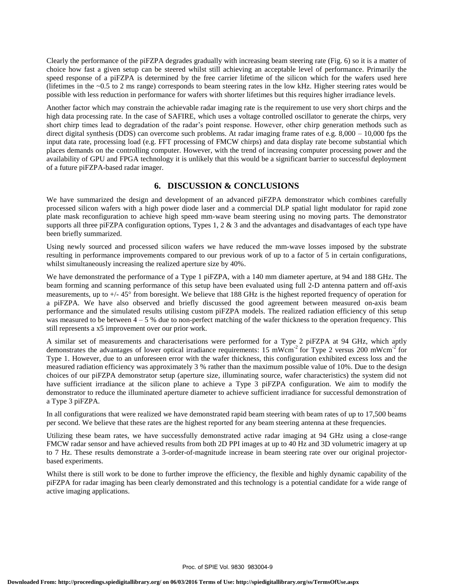Clearly the performance of the piFZPA degrades gradually with increasing beam steering rate (Fig. 6) so it is a matter of choice how fast a given setup can be steered whilst still achieving an acceptable level of performance. Primarily the speed response of a piFZPA is determined by the free carrier lifetime of the silicon which for the wafers used here (lifetimes in the ~0.5 to 2 ms range) corresponds to beam steering rates in the low kHz. Higher steering rates would be possible with less reduction in performance for wafers with shorter lifetimes but this requires higher irradiance levels.

Another factor which may constrain the achievable radar imaging rate is the requirement to use very short chirps and the high data processing rate. In the case of SAFIRE, which uses a voltage controlled oscillator to generate the chirps, very short chirp times lead to degradation of the radar's point response. However, other chirp generation methods such as direct digital synthesis (DDS) can overcome such problems. At radar imaging frame rates of e.g.  $8,000 - 10,000$  fps the input data rate, processing load (e.g. FFT processing of FMCW chirps) and data display rate become substantial which places demands on the controlling computer. However, with the trend of increasing computer processing power and the availability of GPU and FPGA technology it is unlikely that this would be a significant barrier to successful deployment of a future piFZPA-based radar imager.

## **6. DISCUSSION & CONCLUSIONS**

We have summarized the design and development of an advanced piFZPA demonstrator which combines carefully processed silicon wafers with a high power diode laser and a commercial DLP spatial light modulator for rapid zone plate mask reconfiguration to achieve high speed mm-wave beam steering using no moving parts. The demonstrator supports all three piFZPA configuration options, Types 1, 2 & 3 and the advantages and disadvantages of each type have been briefly summarized.

Using newly sourced and processed silicon wafers we have reduced the mm-wave losses imposed by the substrate resulting in performance improvements compared to our previous work of up to a factor of 5 in certain configurations, whilst simultaneously increasing the realized aperture size by 40%.

We have demonstrated the performance of a Type 1 piFZPA, with a 140 mm diameter aperture, at 94 and 188 GHz. The beam forming and scanning performance of this setup have been evaluated using full 2-D antenna pattern and off-axis measurements, up to  $+/- 45^{\circ}$  from boresight. We believe that 188 GHz is the highest reported frequency of operation for a piFZPA. We have also observed and briefly discussed the good agreement between measured on-axis beam performance and the simulated results utilising custom piFZPA models. The realized radiation efficiency of this setup was measured to be between  $4 - 5$  % due to non-perfect matching of the wafer thickness to the operation frequency. This still represents a x5 improvement over our prior work.

A similar set of measurements and characterisations were performed for a Type 2 piFZPA at 94 GHz, which aptly demonstrates the advantages of lower optical irradiance requirements: 15 mWcm<sup>-2</sup> for Type 2 versus 200 mWcm<sup>-2</sup> for Type 1. However, due to an unforeseen error with the wafer thickness, this configuration exhibited excess loss and the measured radiation efficiency was approximately 3 % rather than the maximum possible value of 10%. Due to the design choices of our piFZPA demonstrator setup (aperture size, illuminating source, wafer characteristics) the system did not have sufficient irradiance at the silicon plane to achieve a Type 3 piFZPA configuration. We aim to modify the demonstrator to reduce the illuminated aperture diameter to achieve sufficient irradiance for successful demonstration of a Type 3 piFZPA.

In all configurations that were realized we have demonstrated rapid beam steering with beam rates of up to 17,500 beams per second. We believe that these rates are the highest reported for any beam steering antenna at these frequencies.

Utilizing these beam rates, we have successfully demonstrated active radar imaging at 94 GHz using a close-range FMCW radar sensor and have achieved results from both 2D PPI images at up to 40 Hz and 3D volumetric imagery at up to 7 Hz. These results demonstrate a 3-order-of-magnitude increase in beam steering rate over our original projectorbased experiments.

Whilst there is still work to be done to further improve the efficiency, the flexible and highly dynamic capability of the piFZPA for radar imaging has been clearly demonstrated and this technology is a potential candidate for a wide range of active imaging applications.